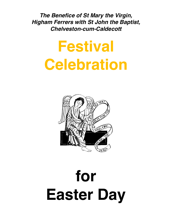*The Benefice of St Mary the Virgin, Higham Ferrers with St John the Baptist, Chelveston-cum-Caldecott* 

# **Festival Celebration**



# **for Easter Day**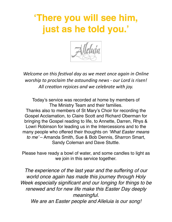# **'There you will see him, just as he told you.'**



*Welcome on this festival day as we meet once again in Online worship to proclaim the astounding news - our Lord is risen! All creation rejoices and we celebrate with joy.*

Today's service was recorded at home by members of The Ministry Team and their families. Thanks also to members of St Mary's Choir for recording the Gospel Acclamation, to Claire Scott and Richard Oberman for bringing the Gospel reading to life, to Annette, Darren, Rhys & Lowri Robinson for leading us in the Intercessions and to the many people who offered their thoughts on *'What Easter means to me'* – Amanda Smith, Sue & Bob Dennis, Sharron Smart, Sandy Coleman and Dave Stuttle.

Please have ready a bowl of water, and some candles to light as we join in this service together.

*The experience of the last year and the suffering of our world once again has made this journey through Holy Week especially significant and our longing for things to be renewed and for new life make this Easter Day deeply meaningful. We are an Easter people and Alleluia is our song!*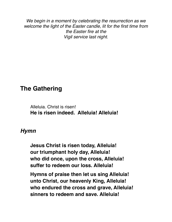*We begin in a moment by celebrating the resurrection as we welcome the light of the Easter candle, lit for the first time from the Easter fire at the Vigil service last night.* 

# **The Gathering**

Alleluia. Christ is risen! **He is risen indeed. Alleluia! Alleluia!** 

# *Hymn*

**Jesus Christ is risen today, Alleluia! our triumphant holy day, Alleluia! who did once, upon the cross, Alleluia! suffer to redeem our loss. Alleluia!** 

**Hymns of praise then let us sing Alleluia! unto Christ, our heavenly King, Alleluia! who endured the cross and grave, Alleluia! sinners to redeem and save. Alleluia!**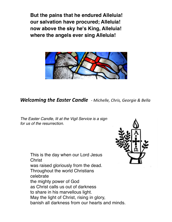**But the pains that he endured Alleluia! our salvation have procured; Alleluia! now above the sky he's King, Alleluia! where the angels ever sing Alleluia!** 



# *Welcoming the Easter Candle - Michelle, Chris, Georgie & Bella*

*The Easter Candle, lit at the Vigil Service is a sign for us of the resurrection.*

> This is the day when our Lord Jesus **Christ** was raised gloriously from the dead. Throughout the world Christians celebrate the mighty power of God as Christ calls us out of darkness to share in his marvellous light. May the light of Christ, rising in glory, banish all darkness from our hearts and minds.

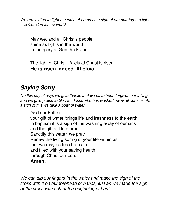*We are invited to light a candle at home as a sign of our sharing the light of Christ in all the world*

May we, and all Christ's people, shine as lights in the world to the glory of God the Father.

The light of Christ - Alleluia! Christ is risen! **He is risen indeed. Alleluia!**

# *Saying Sorry*

*On this day of days we give thanks that we have been forgiven our failings and we give praise to God for Jesus who has washed away all our sins. As a sign of this we take a bowl of water.* 

God our Father, your gift of water brings life and freshness to the earth; in baptism it is a sign of the washing away of our sins and the gift of life eternal. Sanctify this water, we pray. Renew the living spring of your life within us, that we may be free from sin and filled with your saving health; through Christ our Lord.

#### **Amen.**

*We can dip our fingers in the water and make the sign of the cross with it on our forehead or hands, just as we made the sign of the cross with ash at the beginning of Lent.*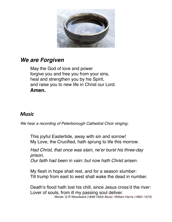

# *We are Forgiven*

May the God of love and power forgive you and free you from your sins, heal and strengthen you by his Spirit, and raise you to new life in Christ our Lord. **Amen.** 

#### *Music*

*We hear a recording of Peterborough Cathedral Choir singing:* 

This joyful Eastertide, away with sin and sorrow! My Love, the Crucified, hath sprung to life this morrow.

*Had Christ, that once was slain, ne'er burst his three-day prison, Our faith had been in vain: but now hath Christ arisen.* 

My flesh in hope shall rest, and for a season slumber: Till trump from east to west shall wake the dead in number.

Death's flood hath lost his chill, since Jesus cross'd the river: Lover of souls, from ill my passing soul deliver. *Words: G R Woodward (1848-1934) Music: William Harris (1883–1973)*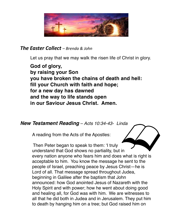

#### *The Easter Collect – Brenda & John*

Let us pray that we may walk the risen life of Christ in glory.

**God of glory, by raising your Son you have broken the chains of death and hell: fill your Church with faith and hope; for a new day has dawned and the way to life stands open in our Saviour Jesus Christ. Amen.** 

# *New Testament Reading* – *Acts 10:34-43- Linda*

A reading from the Acts of the Apostles:

Then Peter began to speak to them: 'I truly understand that God shows no partiality, but in every nation anyone who fears him and does what is right is acceptable to him. You know the message he sent to the people of Israel, preaching peace by Jesus Christ—he is Lord of all. That message spread throughout Judea, beginning in Galilee after the baptism that John announced: how God anointed Jesus of Nazareth with the Holy Spirit and with power; how he went about doing good and healing all, for God was with him. We are witnesses to all that he did both in Judea and in Jerusalem. They put him to death by hanging him on a tree; but God raised him on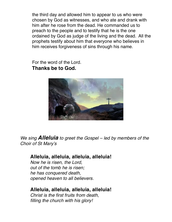the third day and allowed him to appear to us who were chosen by God as witnesses, and who ate and drank with him after he rose from the dead. He commanded us to preach to the people and to testify that he is the one ordained by God as judge of the living and the dead. All the prophets testify about him that everyone who believes in him receives forgiveness of sins through his name.

For the word of the Lord. **Thanks be to God.** 



*We sing Alleluia to greet the Gospel – led by members of the Choir of St Mary's* 

#### **Alleluia, alleluia, alleluia, alleluia!**

*Now he is risen, the Lord, out of the tomb he is risen; he has conquered death, opened heaven to all believers.* 

#### **Alleluia, alleluia, alleluia, alleluia!**

*Christ is the first fruits from death, filling the church with his glory!*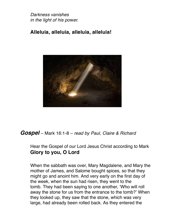*Darkness vanishes in the light of his power.* 

#### **Alleluia, alleluia, alleluia, alleluia!**



#### *Gospel* – Mark 16:1-8 – *read by Paul, Claire & Richard*

#### Hear the Gospel of our Lord Jesus Christ according to Mark **Glory to you, O Lord**

When the sabbath was over, Mary Magdalene, and Mary the mother of James, and Salome bought spices, so that they might go and anoint him. And very early on the first day of the week, when the sun had risen, they went to the tomb. They had been saying to one another, 'Who will roll away the stone for us from the entrance to the tomb?' When they looked up, they saw that the stone, which was very large, had already been rolled back. As they entered the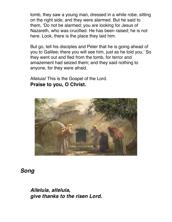tomb, they saw a young man, dressed in a white robe, sitting on the right side; and they were alarmed. But he said to them, 'Do not be alarmed; you are looking for Jesus of Nazareth, who was crucified. He has been raised; he is not here. Look, there is the place they laid him.

But go, tell his disciples and Peter that he is going ahead of you to Galilee; there you will see him, just as he told you.' So they went out and fled from the tomb, for terror and amazement had seized them; and they said nothing to anyone, for they were afraid.

Alleluia! This is the Gospel of the Lord. **Praise to you, O Christ.** 



# *Song*

*Alleluia, alleluia, give thanks to the risen Lord.*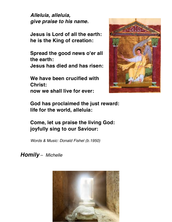*Alleluia, alleluia, give praise to his name.*

**Jesus is Lord of all the earth: he is the King of creation:** 

**Spread the good news o'er all the earth:** 

**Jesus has died and has risen:** 

**We have been crucified with Christ: now we shall live for ever:** 



**God has proclaimed the just reward: life for the world, alleluia:** 

**Come, let us praise the living God: joyfully sing to our Saviour:** 

*Words & Music: Donald Fishel (b.1950)* 

*Homily* – *Michelle* 

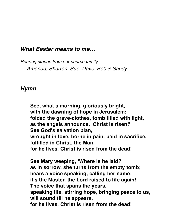# *What Easter means to me…*

*Hearing stories from our church family… Amanda, Sharron, Sue, Dave, Bob & Sandy.*

# *Hymn*

**See, what a morning, gloriously bright, with the dawning of hope in Jerusalem; folded the grave-clothes, tomb filled with light, as the angels announce, 'Christ is risen!' See God's salvation plan, wrought in love, borne in pain, paid in sacrifice, fulfilled in Christ, the Man, for he lives, Christ is risen from the dead!** 

**See Mary weeping, 'Where is he laid? as in sorrow, she turns from the empty tomb; hears a voice speaking, calling her name; it's the Master, the Lord raised to life again! The voice that spans the years, speaking life, stirring hope, bringing peace to us, will sound till he appears, for he lives, Christ is risen from the dead!**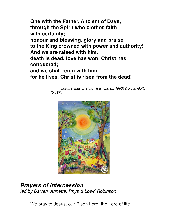**One with the Father, Ancient of Days, through the Spirit who clothes faith with certainty; honour and blessing, glory and praise to the King crowned with power and authority! And we are raised with him, death is dead, love has won, Christ has conquered; and we shall reign with him, for he lives, Christ is risen from the dead!** 

> *words & music: Stuart Townend (b. 1963) & Keith Getty (b.1974)*



#### *Prayers of Intercession led by Darren, Annette, Rhys & Lowri Robinson*

We pray to Jesus, our Risen Lord, the Lord of life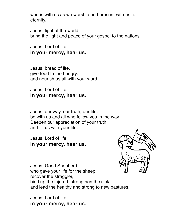who is with us as we worship and present with us to eternity.

Jesus, light of the world, bring the light and peace of your gospel to the nations.

Jesus, Lord of life, **in your mercy, hear us.**

Jesus, bread of life, give food to the hungry, and nourish us all with your word.

Jesus, Lord of life, **in your mercy, hear us.**

Jesus, our way, our truth, our life, be with us and all who follow you in the way … Deepen our appreciation of your truth and fill us with your life.

Jesus, Lord of life, **in your mercy, hear us.**



Jesus, Good Shepherd who gave your life for the sheep, recover the straggler, bind up the injured, strengthen the sick and lead the healthy and strong to new pastures.

Jesus, Lord of life, **in your mercy, hear us.**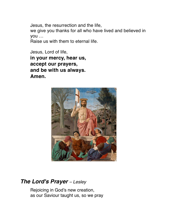Jesus, the resurrection and the life,

we give you thanks for all who have lived and believed in you …

Raise us with them to eternal life.

Jesus, Lord of life, **in your mercy, hear us, accept our prayers, and be with us always. Amen.**



# *The Lord's Prayer – Lesley*

Rejoicing in God's new creation, as our Saviour taught us, so we pray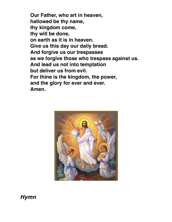**Our Father, who art in heaven, hallowed be thy name, thy kingdom come, thy will be done, on earth as it is in heaven. Give us this day our daily bread. And forgive us our trespasses as we forgive those who trespass against us. And lead us not into temptation but deliver us from evil. For thine is the kingdom, the power, and the glory for ever and ever. Amen.** 



*Hymn*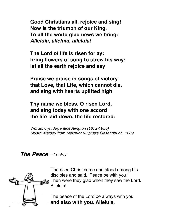**Good Christians all, rejoice and sing! Now is the triumph of our King. To all the world glad news we bring:**  *Alleluia, alleluia, alleluia!* 

**The Lord of life is risen for ay: bring flowers of song to strew his way; let all the earth rejoice and say**

**Praise we praise in songs of victory that Love, that Life, which cannot die, and sing with hearts uplifted high**

**Thy name we bless, O risen Lord, and sing today with one accord the life laid down, the life restored:** 

*Words: Cyril Argentine Alington (1872-1955) Music: Melody from Melchior Vulpius's Gesangbuch, 1609* 

# *The Peace – Lesley*



The risen Christ came and stood among his disciples and said, 'Peace be with you.' Then were they glad when they saw the Lord. Alleluia!

The peace of the Lord be always with you **and also with you. Alleluia.**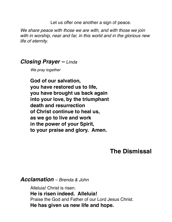Let us offer one another a sign of peace.

*We share peace with those we are with, and with those we join with in worship, near and far, in this world and in the glorious new life of eternity.* 

# *Closing Prayer – Linda*

*We pray together* 

**God of our salvation, you have restored us to life, you have brought us back again into your love, by the triumphant death and resurrection of Christ continue to heal us, as we go to live and work in the power of your Spirit, to your praise and glory. Amen.** 

# **The Dismissal**

#### *Acclamation – Brenda & John*

Alleluia! Christ is risen. **He is risen indeed. Alleluia!** Praise the God and Father of our Lord Jesus Christ. **He has given us new life and hope.**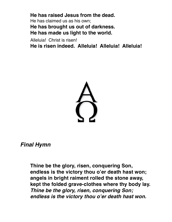**He has raised Jesus from the dead.** He has claimed us as his own; **He has brought us out of darkness. He has made us light to the world.**  Alleluia! Christ is risen!

**He is risen indeed. Alleluia! Alleluia! Alleluia!** 



*Final Hymn* 

**Thine be the glory, risen, conquering Son, endless is the victory thou o'er death hast won; angels in bright raiment rolled the stone away, kept the folded grave-clothes where thy body lay.** *Thine be the glory, risen, conquering Son; endless is the victory thou o'er death hast won.*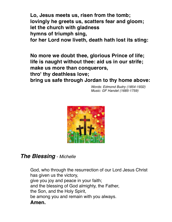**Lo, Jesus meets us, risen from the tomb; lovingly he greets us, scatters fear and gloom; let the church with gladness hymns of triumph sing, for her Lord now liveth, death hath lost its sting:** 

**No more we doubt thee, glorious Prince of life; life is naught without thee: aid us in our strife; make us more than conquerors,** 

**thro' thy deathless love;**

**bring us safe through Jordan to thy home above:** 

*Words: Edmond Budry (1854-1932) Music: GF Handel (1685-1759)* 



#### *The Blessing - Michelle*

God, who through the resurrection of our Lord Jesus Christ has given us the victory, give you joy and peace in your faith; and the blessing of God almighty, the Father, the Son, and the Holy Spirit, be among you and remain with you always. **Amen.**